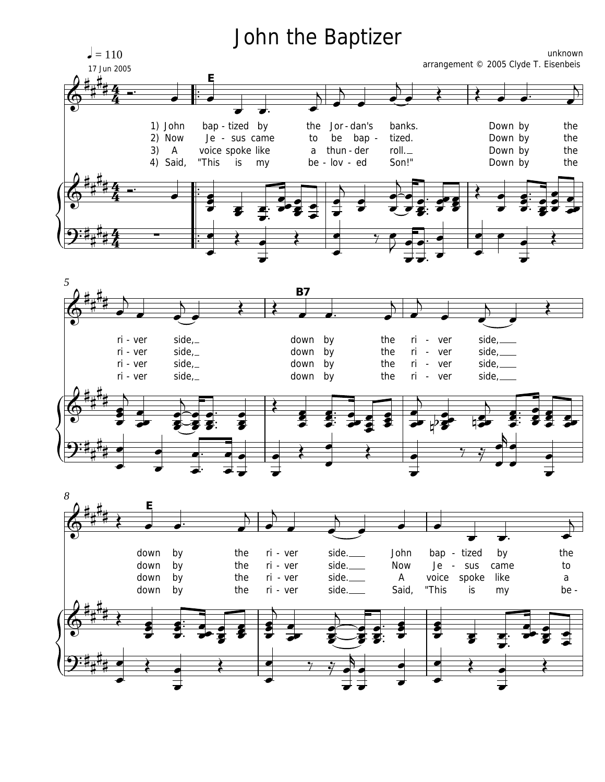## John the Baptizer





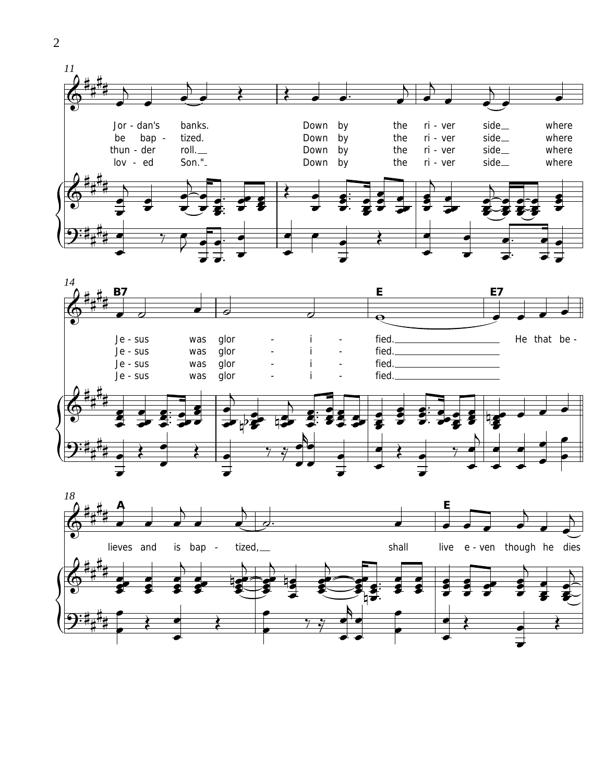